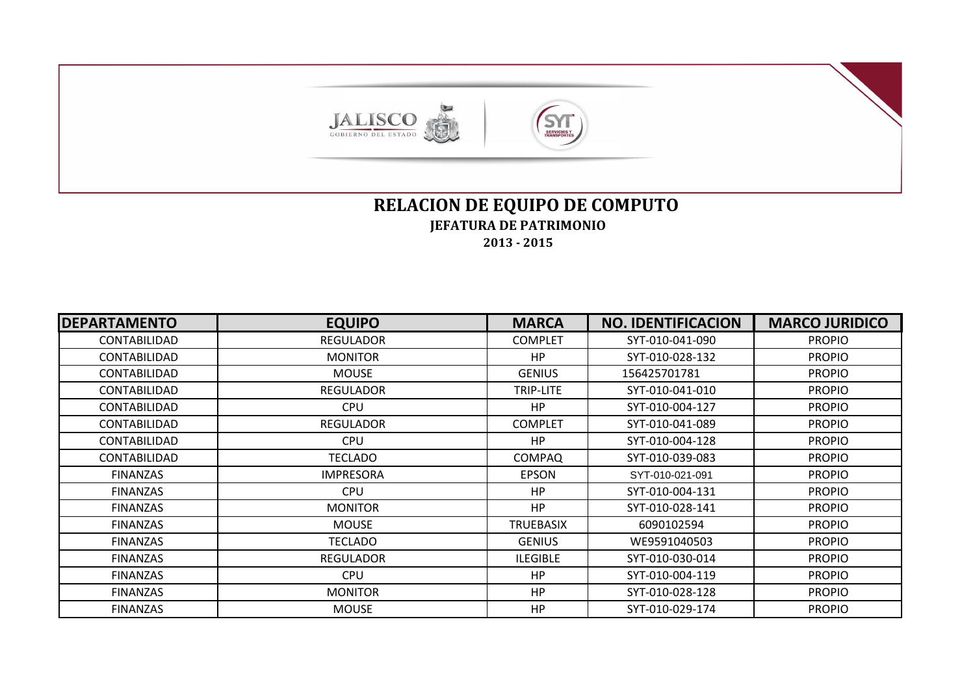

## **RELACION DE EQUIPO DE COMPUTO JEFATURA DE PATRIMONIO 2013 - 2015**

**SY** 

| <b>DEPARTAMENTO</b> | <b>EQUIPO</b>    | <b>MARCA</b>     | <b>NO. IDENTIFICACION</b> | <b>MARCO JURIDICO</b> |
|---------------------|------------------|------------------|---------------------------|-----------------------|
| <b>CONTABILIDAD</b> | <b>REGULADOR</b> | <b>COMPLET</b>   | SYT-010-041-090           | <b>PROPIO</b>         |
| <b>CONTABILIDAD</b> | <b>MONITOR</b>   | HP               | SYT-010-028-132           | <b>PROPIO</b>         |
| <b>CONTABILIDAD</b> | <b>MOUSE</b>     | <b>GENIUS</b>    | 156425701781              | <b>PROPIO</b>         |
| CONTABILIDAD        | <b>REGULADOR</b> | TRIP-LITE        | SYT-010-041-010           | <b>PROPIO</b>         |
| <b>CONTABILIDAD</b> | <b>CPU</b>       | HP               | SYT-010-004-127           | <b>PROPIO</b>         |
| CONTABILIDAD        | <b>REGULADOR</b> | <b>COMPLET</b>   | SYT-010-041-089           | <b>PROPIO</b>         |
| <b>CONTABILIDAD</b> | <b>CPU</b>       | <b>HP</b>        | SYT-010-004-128           | <b>PROPIO</b>         |
| <b>CONTABILIDAD</b> | <b>TECLADO</b>   | <b>COMPAQ</b>    | SYT-010-039-083           | <b>PROPIO</b>         |
| <b>FINANZAS</b>     | <b>IMPRESORA</b> | <b>EPSON</b>     | SYT-010-021-091           | <b>PROPIO</b>         |
| <b>FINANZAS</b>     | <b>CPU</b>       | <b>HP</b>        | SYT-010-004-131           | <b>PROPIO</b>         |
| <b>FINANZAS</b>     | <b>MONITOR</b>   | <b>HP</b>        | SYT-010-028-141           | <b>PROPIO</b>         |
| <b>FINANZAS</b>     | <b>MOUSE</b>     | <b>TRUEBASIX</b> | 6090102594                | <b>PROPIO</b>         |
| <b>FINANZAS</b>     | <b>TECLADO</b>   | <b>GENIUS</b>    | WE9591040503              | <b>PROPIO</b>         |
| <b>FINANZAS</b>     | <b>REGULADOR</b> | <b>ILEGIBLE</b>  | SYT-010-030-014           | <b>PROPIO</b>         |
| <b>FINANZAS</b>     | <b>CPU</b>       | <b>HP</b>        | SYT-010-004-119           | <b>PROPIO</b>         |
| <b>FINANZAS</b>     | <b>MONITOR</b>   | <b>HP</b>        | SYT-010-028-128           | <b>PROPIO</b>         |
| <b>FINANZAS</b>     | <b>MOUSE</b>     | <b>HP</b>        | SYT-010-029-174           | <b>PROPIO</b>         |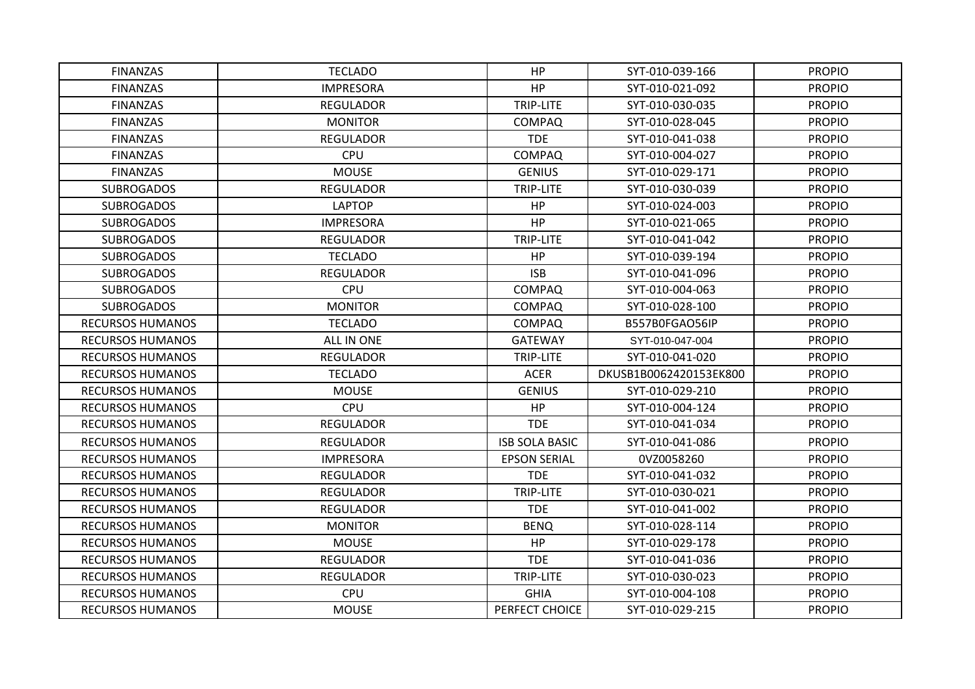| <b>FINANZAS</b>         | <b>TECLADO</b>   | HP.                   | SYT-010-039-166        | <b>PROPIO</b> |
|-------------------------|------------------|-----------------------|------------------------|---------------|
| <b>FINANZAS</b>         | <b>IMPRESORA</b> | HP                    | SYT-010-021-092        | <b>PROPIO</b> |
| <b>FINANZAS</b>         | <b>REGULADOR</b> | TRIP-LITE             | SYT-010-030-035        | <b>PROPIO</b> |
| <b>FINANZAS</b>         | <b>MONITOR</b>   | <b>COMPAQ</b>         | SYT-010-028-045        | <b>PROPIO</b> |
| <b>FINANZAS</b>         | <b>REGULADOR</b> | <b>TDE</b>            | SYT-010-041-038        | <b>PROPIO</b> |
| <b>FINANZAS</b>         | <b>CPU</b>       | <b>COMPAQ</b>         | SYT-010-004-027        | <b>PROPIO</b> |
| <b>FINANZAS</b>         | <b>MOUSE</b>     | <b>GENIUS</b>         | SYT-010-029-171        | <b>PROPIO</b> |
| <b>SUBROGADOS</b>       | <b>REGULADOR</b> | TRIP-LITE             | SYT-010-030-039        | <b>PROPIO</b> |
| <b>SUBROGADOS</b>       | <b>LAPTOP</b>    | HP                    | SYT-010-024-003        | <b>PROPIO</b> |
| <b>SUBROGADOS</b>       | <b>IMPRESORA</b> | <b>HP</b>             | SYT-010-021-065        | <b>PROPIO</b> |
| <b>SUBROGADOS</b>       | <b>REGULADOR</b> | TRIP-LITE             | SYT-010-041-042        | <b>PROPIO</b> |
| <b>SUBROGADOS</b>       | <b>TECLADO</b>   | HP                    | SYT-010-039-194        | <b>PROPIO</b> |
| <b>SUBROGADOS</b>       | <b>REGULADOR</b> | <b>ISB</b>            | SYT-010-041-096        | <b>PROPIO</b> |
| <b>SUBROGADOS</b>       | <b>CPU</b>       | <b>COMPAQ</b>         | SYT-010-004-063        | <b>PROPIO</b> |
| <b>SUBROGADOS</b>       | <b>MONITOR</b>   | <b>COMPAQ</b>         | SYT-010-028-100        | <b>PROPIO</b> |
| <b>RECURSOS HUMANOS</b> | <b>TECLADO</b>   | <b>COMPAQ</b>         | B557B0FGAO56IP         | <b>PROPIO</b> |
| <b>RECURSOS HUMANOS</b> | ALL IN ONE       | <b>GATEWAY</b>        | SYT-010-047-004        | <b>PROPIO</b> |
| <b>RECURSOS HUMANOS</b> | <b>REGULADOR</b> | TRIP-LITE             | SYT-010-041-020        | <b>PROPIO</b> |
| <b>RECURSOS HUMANOS</b> | <b>TECLADO</b>   | <b>ACER</b>           | DKUSB1B0062420153EK800 | <b>PROPIO</b> |
| <b>RECURSOS HUMANOS</b> | <b>MOUSE</b>     | <b>GENIUS</b>         | SYT-010-029-210        | <b>PROPIO</b> |
| <b>RECURSOS HUMANOS</b> | <b>CPU</b>       | HP                    | SYT-010-004-124        | <b>PROPIO</b> |
| <b>RECURSOS HUMANOS</b> | <b>REGULADOR</b> | <b>TDE</b>            | SYT-010-041-034        | <b>PROPIO</b> |
| <b>RECURSOS HUMANOS</b> | <b>REGULADOR</b> | <b>ISB SOLA BASIC</b> | SYT-010-041-086        | <b>PROPIO</b> |
| <b>RECURSOS HUMANOS</b> | <b>IMPRESORA</b> | <b>EPSON SERIAL</b>   | 0VZ0058260             | <b>PROPIO</b> |
| <b>RECURSOS HUMANOS</b> | <b>REGULADOR</b> | <b>TDE</b>            | SYT-010-041-032        | <b>PROPIO</b> |
| <b>RECURSOS HUMANOS</b> | <b>REGULADOR</b> | TRIP-LITE             | SYT-010-030-021        | <b>PROPIO</b> |
| <b>RECURSOS HUMANOS</b> | <b>REGULADOR</b> | <b>TDE</b>            | SYT-010-041-002        | <b>PROPIO</b> |
| <b>RECURSOS HUMANOS</b> | <b>MONITOR</b>   | <b>BENQ</b>           | SYT-010-028-114        | <b>PROPIO</b> |
| <b>RECURSOS HUMANOS</b> | <b>MOUSE</b>     | <b>HP</b>             | SYT-010-029-178        | <b>PROPIO</b> |
| <b>RECURSOS HUMANOS</b> | <b>REGULADOR</b> | <b>TDE</b>            | SYT-010-041-036        | <b>PROPIO</b> |
| <b>RECURSOS HUMANOS</b> | <b>REGULADOR</b> | <b>TRIP-LITE</b>      | SYT-010-030-023        | <b>PROPIO</b> |
| <b>RECURSOS HUMANOS</b> | <b>CPU</b>       | <b>GHIA</b>           | SYT-010-004-108        | <b>PROPIO</b> |
| <b>RECURSOS HUMANOS</b> | <b>MOUSE</b>     | PERFECT CHOICE        | SYT-010-029-215        | <b>PROPIO</b> |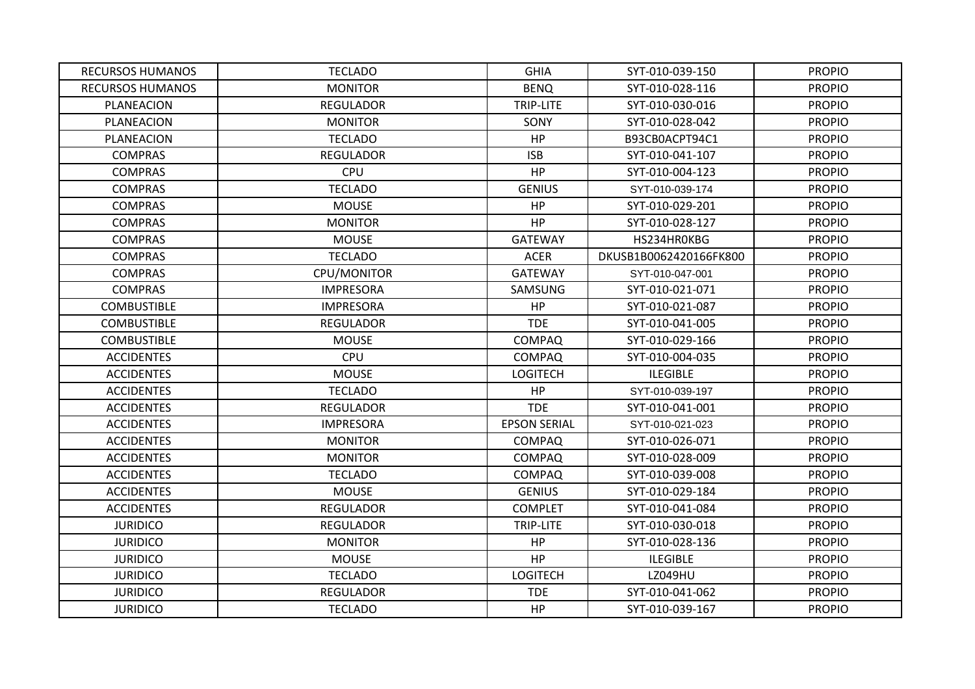| <b>RECURSOS HUMANOS</b> | <b>TECLADO</b>   | <b>GHIA</b>         | SYT-010-039-150        | <b>PROPIO</b> |
|-------------------------|------------------|---------------------|------------------------|---------------|
| <b>RECURSOS HUMANOS</b> | <b>MONITOR</b>   | <b>BENQ</b>         | SYT-010-028-116        | <b>PROPIO</b> |
| PLANEACION              | <b>REGULADOR</b> | TRIP-LITE           | SYT-010-030-016        | <b>PROPIO</b> |
| PLANEACION              | <b>MONITOR</b>   | SONY                | SYT-010-028-042        | <b>PROPIO</b> |
| PLANEACION              | <b>TECLADO</b>   | HP                  | B93CB0ACPT94C1         | <b>PROPIO</b> |
| <b>COMPRAS</b>          | <b>REGULADOR</b> | <b>ISB</b>          | SYT-010-041-107        | <b>PROPIO</b> |
| <b>COMPRAS</b>          | <b>CPU</b>       | HP                  | SYT-010-004-123        | <b>PROPIO</b> |
| <b>COMPRAS</b>          | <b>TECLADO</b>   | <b>GENIUS</b>       | SYT-010-039-174        | <b>PROPIO</b> |
| <b>COMPRAS</b>          | <b>MOUSE</b>     | HP                  | SYT-010-029-201        | <b>PROPIO</b> |
| <b>COMPRAS</b>          | <b>MONITOR</b>   | HP                  | SYT-010-028-127        | <b>PROPIO</b> |
| <b>COMPRAS</b>          | <b>MOUSE</b>     | <b>GATEWAY</b>      | HS234HR0KBG            | <b>PROPIO</b> |
| <b>COMPRAS</b>          | <b>TECLADO</b>   | <b>ACER</b>         | DKUSB1B0062420166FK800 | <b>PROPIO</b> |
| <b>COMPRAS</b>          | CPU/MONITOR      | <b>GATEWAY</b>      | SYT-010-047-001        | <b>PROPIO</b> |
| <b>COMPRAS</b>          | <b>IMPRESORA</b> | SAMSUNG             | SYT-010-021-071        | <b>PROPIO</b> |
| <b>COMBUSTIBLE</b>      | <b>IMPRESORA</b> | HP                  | SYT-010-021-087        | <b>PROPIO</b> |
| <b>COMBUSTIBLE</b>      | <b>REGULADOR</b> | <b>TDE</b>          | SYT-010-041-005        | <b>PROPIO</b> |
| <b>COMBUSTIBLE</b>      | <b>MOUSE</b>     | <b>COMPAQ</b>       | SYT-010-029-166        | <b>PROPIO</b> |
| <b>ACCIDENTES</b>       | <b>CPU</b>       | <b>COMPAQ</b>       | SYT-010-004-035        | <b>PROPIO</b> |
| <b>ACCIDENTES</b>       | <b>MOUSE</b>     | <b>LOGITECH</b>     | <b>ILEGIBLE</b>        | <b>PROPIO</b> |
| <b>ACCIDENTES</b>       | <b>TECLADO</b>   | HP                  | SYT-010-039-197        | <b>PROPIO</b> |
| <b>ACCIDENTES</b>       | <b>REGULADOR</b> | <b>TDE</b>          | SYT-010-041-001        | <b>PROPIO</b> |
| <b>ACCIDENTES</b>       | <b>IMPRESORA</b> | <b>EPSON SERIAL</b> | SYT-010-021-023        | <b>PROPIO</b> |
| <b>ACCIDENTES</b>       | <b>MONITOR</b>   | <b>COMPAQ</b>       | SYT-010-026-071        | <b>PROPIO</b> |
| <b>ACCIDENTES</b>       | <b>MONITOR</b>   | <b>COMPAQ</b>       | SYT-010-028-009        | <b>PROPIO</b> |
| <b>ACCIDENTES</b>       | <b>TECLADO</b>   | <b>COMPAQ</b>       | SYT-010-039-008        | <b>PROPIO</b> |
| <b>ACCIDENTES</b>       | <b>MOUSE</b>     | <b>GENIUS</b>       | SYT-010-029-184        | <b>PROPIO</b> |
| <b>ACCIDENTES</b>       | <b>REGULADOR</b> | <b>COMPLET</b>      | SYT-010-041-084        | <b>PROPIO</b> |
| <b>JURIDICO</b>         | <b>REGULADOR</b> | <b>TRIP-LITE</b>    | SYT-010-030-018        | <b>PROPIO</b> |
| <b>JURIDICO</b>         | <b>MONITOR</b>   | HP                  | SYT-010-028-136        | <b>PROPIO</b> |
| <b>JURIDICO</b>         | <b>MOUSE</b>     | HP                  | <b>ILEGIBLE</b>        | <b>PROPIO</b> |
| <b>JURIDICO</b>         | <b>TECLADO</b>   | <b>LOGITECH</b>     | <b>LZ049HU</b>         | <b>PROPIO</b> |
| <b>JURIDICO</b>         | <b>REGULADOR</b> | <b>TDE</b>          | SYT-010-041-062        | <b>PROPIO</b> |
| <b>JURIDICO</b>         | <b>TECLADO</b>   | HP                  | SYT-010-039-167        | <b>PROPIO</b> |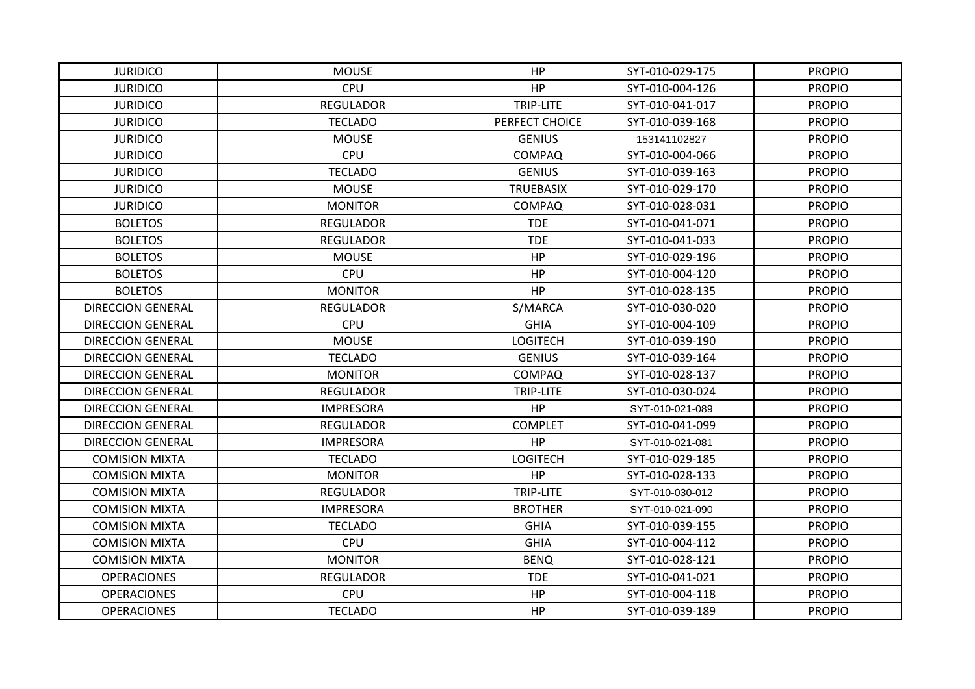| <b>JURIDICO</b>          | <b>MOUSE</b>     | HP.              | SYT-010-029-175 | <b>PROPIO</b> |
|--------------------------|------------------|------------------|-----------------|---------------|
| <b>JURIDICO</b>          | CPU              | HP               | SYT-010-004-126 | <b>PROPIO</b> |
| <b>JURIDICO</b>          | <b>REGULADOR</b> | TRIP-LITE        | SYT-010-041-017 | <b>PROPIO</b> |
| <b>JURIDICO</b>          | <b>TECLADO</b>   | PERFECT CHOICE   | SYT-010-039-168 | <b>PROPIO</b> |
| <b>JURIDICO</b>          | <b>MOUSE</b>     | <b>GENIUS</b>    | 153141102827    | <b>PROPIO</b> |
| <b>JURIDICO</b>          | <b>CPU</b>       | <b>COMPAQ</b>    | SYT-010-004-066 | <b>PROPIO</b> |
| <b>JURIDICO</b>          | <b>TECLADO</b>   | <b>GENIUS</b>    | SYT-010-039-163 | <b>PROPIO</b> |
| <b>JURIDICO</b>          | <b>MOUSE</b>     | <b>TRUEBASIX</b> | SYT-010-029-170 | <b>PROPIO</b> |
| <b>JURIDICO</b>          | <b>MONITOR</b>   | <b>COMPAQ</b>    | SYT-010-028-031 | <b>PROPIO</b> |
| <b>BOLETOS</b>           | <b>REGULADOR</b> | <b>TDE</b>       | SYT-010-041-071 | <b>PROPIO</b> |
| <b>BOLETOS</b>           | <b>REGULADOR</b> | <b>TDE</b>       | SYT-010-041-033 | <b>PROPIO</b> |
| <b>BOLETOS</b>           | <b>MOUSE</b>     | <b>HP</b>        | SYT-010-029-196 | <b>PROPIO</b> |
| <b>BOLETOS</b>           | <b>CPU</b>       | HP               | SYT-010-004-120 | <b>PROPIO</b> |
| <b>BOLETOS</b>           | <b>MONITOR</b>   | HP               | SYT-010-028-135 | <b>PROPIO</b> |
| <b>DIRECCION GENERAL</b> | <b>REGULADOR</b> | S/MARCA          | SYT-010-030-020 | <b>PROPIO</b> |
| <b>DIRECCION GENERAL</b> | <b>CPU</b>       | <b>GHIA</b>      | SYT-010-004-109 | <b>PROPIO</b> |
| <b>DIRECCION GENERAL</b> | <b>MOUSE</b>     | <b>LOGITECH</b>  | SYT-010-039-190 | <b>PROPIO</b> |
| <b>DIRECCION GENERAL</b> | <b>TECLADO</b>   | <b>GENIUS</b>    | SYT-010-039-164 | <b>PROPIO</b> |
| <b>DIRECCION GENERAL</b> | <b>MONITOR</b>   | <b>COMPAQ</b>    | SYT-010-028-137 | <b>PROPIO</b> |
| <b>DIRECCION GENERAL</b> | <b>REGULADOR</b> | TRIP-LITE        | SYT-010-030-024 | <b>PROPIO</b> |
| <b>DIRECCION GENERAL</b> | <b>IMPRESORA</b> | HP               | SYT-010-021-089 | <b>PROPIO</b> |
| <b>DIRECCION GENERAL</b> | <b>REGULADOR</b> | <b>COMPLET</b>   | SYT-010-041-099 | <b>PROPIO</b> |
| DIRECCION GENERAL        | <b>IMPRESORA</b> | <b>HP</b>        | SYT-010-021-081 | <b>PROPIO</b> |
| <b>COMISION MIXTA</b>    | <b>TECLADO</b>   | <b>LOGITECH</b>  | SYT-010-029-185 | <b>PROPIO</b> |
| <b>COMISION MIXTA</b>    | <b>MONITOR</b>   | HP               | SYT-010-028-133 | <b>PROPIO</b> |
| <b>COMISION MIXTA</b>    | <b>REGULADOR</b> | TRIP-LITE        | SYT-010-030-012 | <b>PROPIO</b> |
| <b>COMISION MIXTA</b>    | <b>IMPRESORA</b> | <b>BROTHER</b>   | SYT-010-021-090 | <b>PROPIO</b> |
| <b>COMISION MIXTA</b>    | <b>TECLADO</b>   | <b>GHIA</b>      | SYT-010-039-155 | <b>PROPIO</b> |
| <b>COMISION MIXTA</b>    | <b>CPU</b>       | <b>GHIA</b>      | SYT-010-004-112 | <b>PROPIO</b> |
| <b>COMISION MIXTA</b>    | <b>MONITOR</b>   | <b>BENQ</b>      | SYT-010-028-121 | <b>PROPIO</b> |
| <b>OPERACIONES</b>       | <b>REGULADOR</b> | <b>TDE</b>       | SYT-010-041-021 | <b>PROPIO</b> |
| <b>OPERACIONES</b>       | <b>CPU</b>       | HP               | SYT-010-004-118 | <b>PROPIO</b> |
| <b>OPERACIONES</b>       | <b>TECLADO</b>   | HP               | SYT-010-039-189 | <b>PROPIO</b> |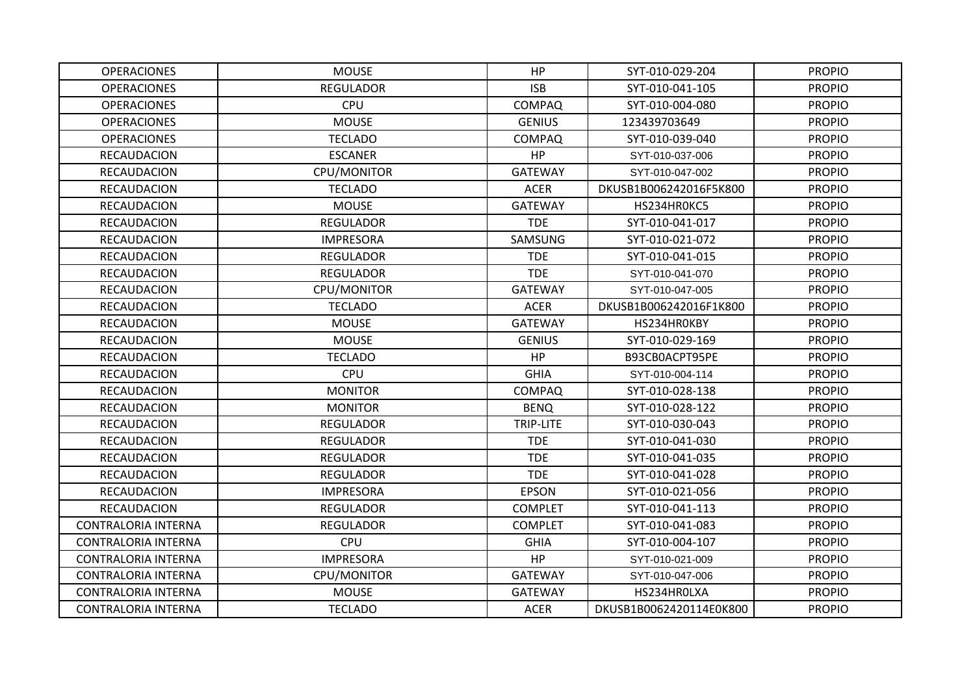| <b>OPERACIONES</b>         | <b>MOUSE</b>     | НP             | SYT-010-029-204         | <b>PROPIO</b> |
|----------------------------|------------------|----------------|-------------------------|---------------|
| <b>OPERACIONES</b>         | <b>REGULADOR</b> | <b>ISB</b>     | SYT-010-041-105         | <b>PROPIO</b> |
| <b>OPERACIONES</b>         | <b>CPU</b>       | <b>COMPAQ</b>  | SYT-010-004-080         | <b>PROPIO</b> |
| <b>OPERACIONES</b>         | <b>MOUSE</b>     | <b>GENIUS</b>  | 123439703649            | <b>PROPIO</b> |
| <b>OPERACIONES</b>         | <b>TECLADO</b>   | <b>COMPAQ</b>  | SYT-010-039-040         | <b>PROPIO</b> |
| RECAUDACION                | <b>ESCANER</b>   | HP             | SYT-010-037-006         | <b>PROPIO</b> |
| RECAUDACION                | CPU/MONITOR      | <b>GATEWAY</b> | SYT-010-047-002         | <b>PROPIO</b> |
| <b>RECAUDACION</b>         | <b>TECLADO</b>   | <b>ACER</b>    | DKUSB1B006242016F5K800  | <b>PROPIO</b> |
| <b>RECAUDACION</b>         | <b>MOUSE</b>     | <b>GATEWAY</b> | HS234HR0KC5             | <b>PROPIO</b> |
| <b>RECAUDACION</b>         | <b>REGULADOR</b> | <b>TDE</b>     | SYT-010-041-017         | <b>PROPIO</b> |
| <b>RECAUDACION</b>         | <b>IMPRESORA</b> | <b>SAMSUNG</b> | SYT-010-021-072         | <b>PROPIO</b> |
| <b>RECAUDACION</b>         | <b>REGULADOR</b> | <b>TDE</b>     | SYT-010-041-015         | <b>PROPIO</b> |
| <b>RECAUDACION</b>         | <b>REGULADOR</b> | <b>TDE</b>     | SYT-010-041-070         | <b>PROPIO</b> |
| <b>RECAUDACION</b>         | CPU/MONITOR      | <b>GATEWAY</b> | SYT-010-047-005         | <b>PROPIO</b> |
| <b>RECAUDACION</b>         | <b>TECLADO</b>   | <b>ACER</b>    | DKUSB1B006242016F1K800  | <b>PROPIO</b> |
| <b>RECAUDACION</b>         | <b>MOUSE</b>     | <b>GATEWAY</b> | HS234HR0KBY             | <b>PROPIO</b> |
| <b>RECAUDACION</b>         | <b>MOUSE</b>     | <b>GENIUS</b>  | SYT-010-029-169         | <b>PROPIO</b> |
| <b>RECAUDACION</b>         | <b>TECLADO</b>   | <b>HP</b>      | B93CB0ACPT95PE          | <b>PROPIO</b> |
| <b>RECAUDACION</b>         | <b>CPU</b>       | <b>GHIA</b>    | SYT-010-004-114         | <b>PROPIO</b> |
| <b>RECAUDACION</b>         | <b>MONITOR</b>   | <b>COMPAQ</b>  | SYT-010-028-138         | <b>PROPIO</b> |
| <b>RECAUDACION</b>         | <b>MONITOR</b>   | <b>BENQ</b>    | SYT-010-028-122         | <b>PROPIO</b> |
| <b>RECAUDACION</b>         | <b>REGULADOR</b> | TRIP-LITE      | SYT-010-030-043         | <b>PROPIO</b> |
| <b>RECAUDACION</b>         | <b>REGULADOR</b> | <b>TDE</b>     | SYT-010-041-030         | <b>PROPIO</b> |
| <b>RECAUDACION</b>         | <b>REGULADOR</b> | <b>TDE</b>     | SYT-010-041-035         | <b>PROPIO</b> |
| <b>RECAUDACION</b>         | <b>REGULADOR</b> | <b>TDE</b>     | SYT-010-041-028         | <b>PROPIO</b> |
| <b>RECAUDACION</b>         | <b>IMPRESORA</b> | <b>EPSON</b>   | SYT-010-021-056         | <b>PROPIO</b> |
| <b>RECAUDACION</b>         | <b>REGULADOR</b> | <b>COMPLET</b> | SYT-010-041-113         | <b>PROPIO</b> |
| <b>CONTRALORIA INTERNA</b> | <b>REGULADOR</b> | <b>COMPLET</b> | SYT-010-041-083         | <b>PROPIO</b> |
| <b>CONTRALORIA INTERNA</b> | <b>CPU</b>       | <b>GHIA</b>    | SYT-010-004-107         | <b>PROPIO</b> |
| <b>CONTRALORIA INTERNA</b> | <b>IMPRESORA</b> | <b>HP</b>      | SYT-010-021-009         | <b>PROPIO</b> |
| <b>CONTRALORIA INTERNA</b> | CPU/MONITOR      | <b>GATEWAY</b> | SYT-010-047-006         | <b>PROPIO</b> |
| <b>CONTRALORIA INTERNA</b> | <b>MOUSE</b>     | <b>GATEWAY</b> | HS234HROLXA             | <b>PROPIO</b> |
| <b>CONTRALORIA INTERNA</b> | <b>TECLADO</b>   | <b>ACER</b>    | DKUSB1B0062420114E0K800 | <b>PROPIO</b> |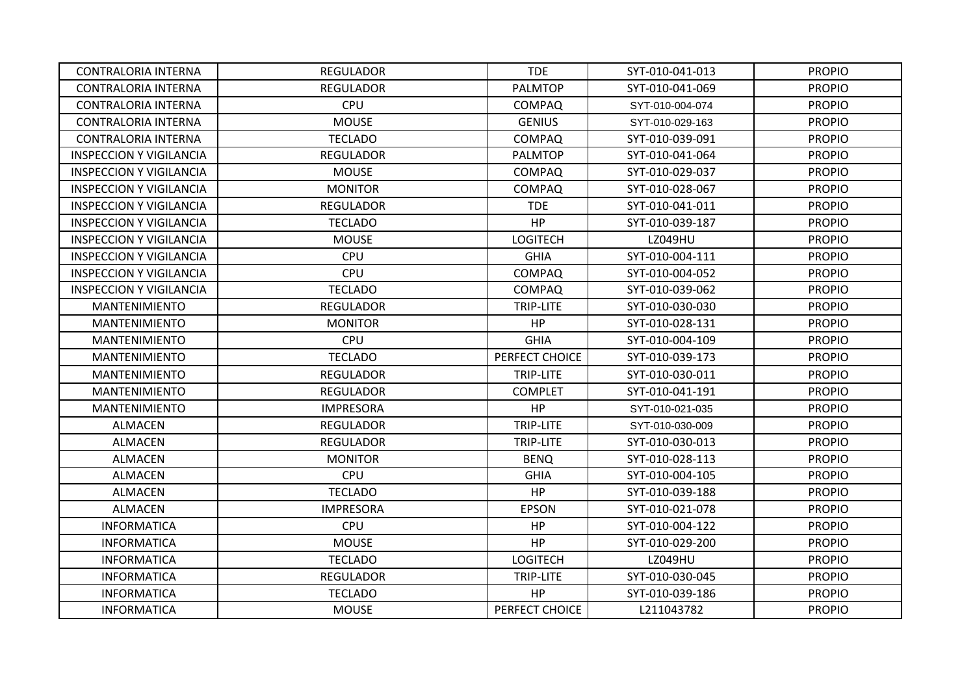| <b>CONTRALORIA INTERNA</b>     | <b>REGULADOR</b> | <b>TDE</b>       | SYT-010-041-013 | <b>PROPIO</b> |
|--------------------------------|------------------|------------------|-----------------|---------------|
| <b>CONTRALORIA INTERNA</b>     | <b>REGULADOR</b> | <b>PALMTOP</b>   | SYT-010-041-069 | <b>PROPIO</b> |
| CONTRALORIA INTERNA            | <b>CPU</b>       | <b>COMPAQ</b>    | SYT-010-004-074 | <b>PROPIO</b> |
| <b>CONTRALORIA INTERNA</b>     | <b>MOUSE</b>     | <b>GENIUS</b>    | SYT-010-029-163 | <b>PROPIO</b> |
| <b>CONTRALORIA INTERNA</b>     | <b>TECLADO</b>   | <b>COMPAQ</b>    | SYT-010-039-091 | <b>PROPIO</b> |
| <b>INSPECCION Y VIGILANCIA</b> | <b>REGULADOR</b> | <b>PALMTOP</b>   | SYT-010-041-064 | <b>PROPIO</b> |
| INSPECCION Y VIGILANCIA        | <b>MOUSE</b>     | <b>COMPAQ</b>    | SYT-010-029-037 | <b>PROPIO</b> |
| <b>INSPECCION Y VIGILANCIA</b> | <b>MONITOR</b>   | <b>COMPAQ</b>    | SYT-010-028-067 | <b>PROPIO</b> |
| <b>INSPECCION Y VIGILANCIA</b> | <b>REGULADOR</b> | <b>TDE</b>       | SYT-010-041-011 | <b>PROPIO</b> |
| <b>INSPECCION Y VIGILANCIA</b> | <b>TECLADO</b>   | HP               | SYT-010-039-187 | <b>PROPIO</b> |
| <b>INSPECCION Y VIGILANCIA</b> | <b>MOUSE</b>     | <b>LOGITECH</b>  | <b>LZ049HU</b>  | <b>PROPIO</b> |
| <b>INSPECCION Y VIGILANCIA</b> | <b>CPU</b>       | <b>GHIA</b>      | SYT-010-004-111 | <b>PROPIO</b> |
| <b>INSPECCION Y VIGILANCIA</b> | <b>CPU</b>       | <b>COMPAQ</b>    | SYT-010-004-052 | <b>PROPIO</b> |
| <b>INSPECCION Y VIGILANCIA</b> | <b>TECLADO</b>   | <b>COMPAQ</b>    | SYT-010-039-062 | <b>PROPIO</b> |
| <b>MANTENIMIENTO</b>           | <b>REGULADOR</b> | TRIP-LITE        | SYT-010-030-030 | <b>PROPIO</b> |
| MANTENIMIENTO                  | <b>MONITOR</b>   | <b>HP</b>        | SYT-010-028-131 | <b>PROPIO</b> |
| <b>MANTENIMIENTO</b>           | <b>CPU</b>       | <b>GHIA</b>      | SYT-010-004-109 | <b>PROPIO</b> |
| <b>MANTENIMIENTO</b>           | <b>TECLADO</b>   | PERFECT CHOICE   | SYT-010-039-173 | <b>PROPIO</b> |
| <b>MANTENIMIENTO</b>           | <b>REGULADOR</b> | <b>TRIP-LITE</b> | SYT-010-030-011 | <b>PROPIO</b> |
| <b>MANTENIMIENTO</b>           | <b>REGULADOR</b> | <b>COMPLET</b>   | SYT-010-041-191 | <b>PROPIO</b> |
| <b>MANTENIMIENTO</b>           | <b>IMPRESORA</b> | HP               | SYT-010-021-035 | <b>PROPIO</b> |
| <b>ALMACEN</b>                 | <b>REGULADOR</b> | TRIP-LITE        | SYT-010-030-009 | <b>PROPIO</b> |
| <b>ALMACEN</b>                 | <b>REGULADOR</b> | <b>TRIP-LITE</b> | SYT-010-030-013 | <b>PROPIO</b> |
| <b>ALMACEN</b>                 | <b>MONITOR</b>   | <b>BENQ</b>      | SYT-010-028-113 | <b>PROPIO</b> |
| <b>ALMACEN</b>                 | <b>CPU</b>       | <b>GHIA</b>      | SYT-010-004-105 | <b>PROPIO</b> |
| <b>ALMACEN</b>                 | <b>TECLADO</b>   | HP               | SYT-010-039-188 | <b>PROPIO</b> |
| <b>ALMACEN</b>                 | <b>IMPRESORA</b> | <b>EPSON</b>     | SYT-010-021-078 | <b>PROPIO</b> |
| <b>INFORMATICA</b>             | <b>CPU</b>       | <b>HP</b>        | SYT-010-004-122 | <b>PROPIO</b> |
| <b>INFORMATICA</b>             | <b>MOUSE</b>     | HP               | SYT-010-029-200 | <b>PROPIO</b> |
| <b>INFORMATICA</b>             | <b>TECLADO</b>   | <b>LOGITECH</b>  | <b>LZ049HU</b>  | <b>PROPIO</b> |
| <b>INFORMATICA</b>             | <b>REGULADOR</b> | TRIP-LITE        | SYT-010-030-045 | <b>PROPIO</b> |
| <b>INFORMATICA</b>             | <b>TECLADO</b>   | <b>HP</b>        | SYT-010-039-186 | <b>PROPIO</b> |
| <b>INFORMATICA</b>             | <b>MOUSE</b>     | PERFECT CHOICE   | L211043782      | <b>PROPIO</b> |